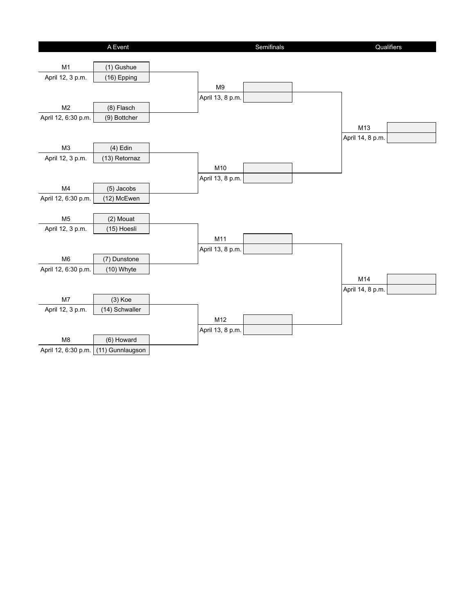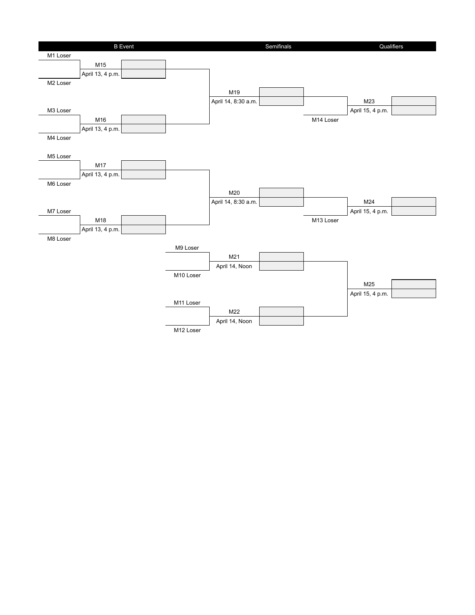